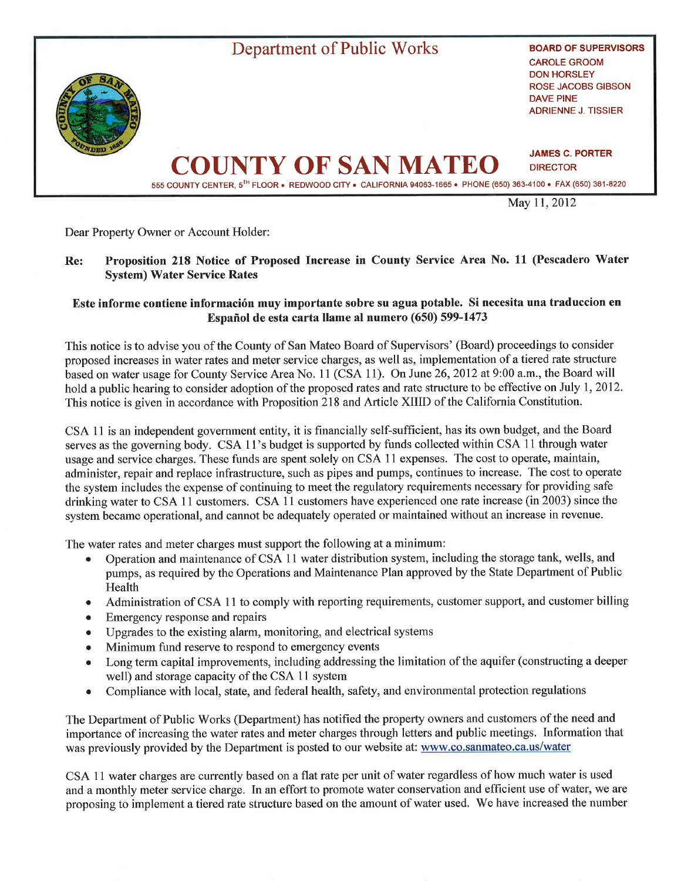

May 11, 2012

Dear Property Owner or Account Holder:

## Proposition 218 Notice of Proposed Increase in County Service Area No. 11 (Pescadero Water Re: **System) Water Service Rates**

## Este informe contiene información muy importante sobre su agua potable. Si necesita una traduccion en Español de esta carta llame al numero (650) 599-1473

This notice is to advise you of the County of San Mateo Board of Supervisors' (Board) proceedings to consider proposed increases in water rates and meter service charges, as well as, implementation of a tiered rate structure based on water usage for County Service Area No. 11 (CSA 11). On June 26, 2012 at 9:00 a.m., the Board will hold a public hearing to consider adoption of the proposed rates and rate structure to be effective on July 1, 2012. This notice is given in accordance with Proposition 218 and Article XIIID of the California Constitution.

CSA 11 is an independent government entity, it is financially self-sufficient, has its own budget, and the Board serves as the governing body. CSA 11's budget is supported by funds collected within CSA 11 through water usage and service charges. These funds are spent solely on CSA 11 expenses. The cost to operate, maintain, administer, repair and replace infrastructure, such as pipes and pumps, continues to increase. The cost to operate the system includes the expense of continuing to meet the regulatory requirements necessary for providing safe drinking water to CSA 11 customers. CSA 11 customers have experienced one rate increase (in 2003) since the system became operational, and cannot be adequately operated or maintained without an increase in revenue.

The water rates and meter charges must support the following at a minimum:

- Operation and maintenance of CSA 11 water distribution system, including the storage tank, wells, and  $\bullet$ pumps, as required by the Operations and Maintenance Plan approved by the State Department of Public Health
- Administration of CSA 11 to comply with reporting requirements, customer support, and customer billing  $\bullet$
- $\bullet$ Emergency response and repairs
- Upgrades to the existing alarm, monitoring, and electrical systems  $\bullet$
- Minimum fund reserve to respond to emergency events  $\bullet$
- Long term capital improvements, including addressing the limitation of the aquifer (constructing a deeper  $\bullet$ well) and storage capacity of the CSA 11 system
- Compliance with local, state, and federal health, safety, and environmental protection regulations  $\bullet$

The Department of Public Works (Department) has notified the property owners and customers of the need and importance of increasing the water rates and meter charges through letters and public meetings. Information that was previously provided by the Department is posted to our website at: www.co.sanmateo.ca.us/water

CSA 11 water charges are currently based on a flat rate per unit of water regardless of how much water is used and a monthly meter service charge. In an effort to promote water conservation and efficient use of water, we are proposing to implement a tiered rate structure based on the amount of water used. We have increased the number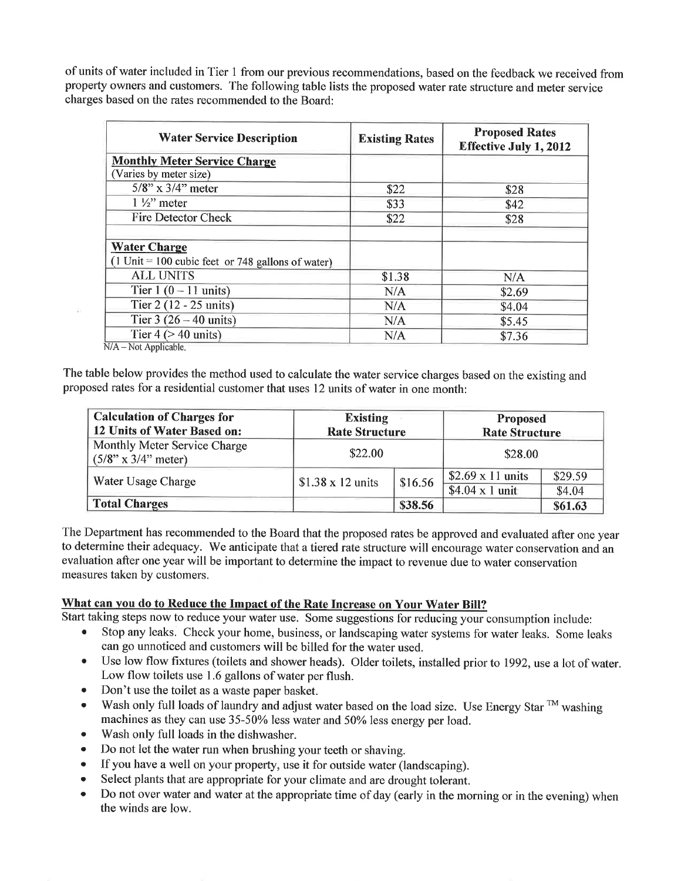of units of water included in Tier 1 from our previous recommendations, based on the feedback we received from property owners and customers. The following table lists the proposed water rate structure and meter service charges based on the rates recommended to the Board:

| <b>Water Service Description</b>                                                                    | <b>Existing Rates</b> | <b>Proposed Rates</b><br><b>Effective July 1, 2012</b> |
|-----------------------------------------------------------------------------------------------------|-----------------------|--------------------------------------------------------|
| <b>Monthly Meter Service Charge</b>                                                                 |                       |                                                        |
| (Varies by meter size)                                                                              |                       |                                                        |
| $5/8$ " x $3/4$ " meter                                                                             | \$22                  | \$28                                                   |
| $1\frac{1}{2}$ meter                                                                                | \$33                  | \$42                                                   |
| <b>Fire Detector Check</b>                                                                          | \$22                  | \$28                                                   |
| <b>Water Charge</b><br>$(1 \text{ Unit} = 100 \text{ cubic feet or } 748 \text{ gallons of water})$ |                       |                                                        |
| <b>ALL UNITS</b>                                                                                    | \$1.38                | N/A                                                    |
| Tier $1(0-11 \text{ units})$                                                                        | N/A                   | \$2.69                                                 |
| Tier 2 (12 - 25 units)                                                                              | N/A                   | \$4.04                                                 |
| Tier 3 $(26 - 40 \text{ units})$                                                                    | N/A                   | \$5.45                                                 |
| Tier $4 (> 40 \text{ units})$<br><b>NIA</b><br>Mot Applicable                                       | N/A                   | \$7.36                                                 |

N/A – Not Applicable.

The table below provides the method used to calculate the water service charges based on the existing and proposed rates for a residential customer that uses 12 units of water in one month:

| <b>Calculation of Charges for</b><br>12 Units of Water Based on: | <b>Existing</b>                 | <b>Rate Structure</b> |                                                          | <b>Proposed</b><br><b>Rate Structure</b> |  |
|------------------------------------------------------------------|---------------------------------|-----------------------|----------------------------------------------------------|------------------------------------------|--|
| Monthly Meter Service Charge<br>$(5/8" \times 3/4"$ meter)       | \$22.00                         |                       |                                                          | \$28.00                                  |  |
| Water Usage Charge                                               | $$1.38 \times 12 \text{ units}$ | \$16.56               | $$2.69 \times 11 \text{ units}$<br>$$4.04 \times 1$ unit | \$29.59<br>\$4.04                        |  |
| <b>Total Charges</b>                                             |                                 | \$38.56               |                                                          | \$61.63                                  |  |

The Department has recommended to the Board that the proposed rates be approved and evaluated after one year to determine their adequacy. We anticipate that a tiered rate structure will encourage water conservation and an evaluation after one year will be important to determine the impact to revenue due to water conservation measures taken by customers.

## What can you do to Reduce the Jmpact of the Rate Increase on Your Water Bill?

Start taking steps now to reduce your water use. Some suggestions for reducing your consumption include:

- . Stop any leaks. Check your home, business, or landscaping water systems for water leaks. Some leaks can go unnoticed and customers will be billed for the water used.
- Use low flow fixtures (toilets and shower heads). Older toilets, installed prior to 1992, use a lot of water. Low flow toilets use 1.6 gallons of water per flush.
- Don't use the toilet as a waste paper basket.
- Wash only full loads of laundry and adjust water based on the load size. Use Energy Star  $TM$  washing machines as they can use 35-50% less water and 50% less energy per load.
- o Wash only full loads in the dishwasher.
- Do not let the water run when brushing your teeth or shaving.
- . If you have a well on your property, use it for outside water (landscaping).
- Select plants that are appropriate for your climate and are drought tolerant.
- Do not over water and water at the appropriate time of day (early in the morning or in the evening) when the winds are low.